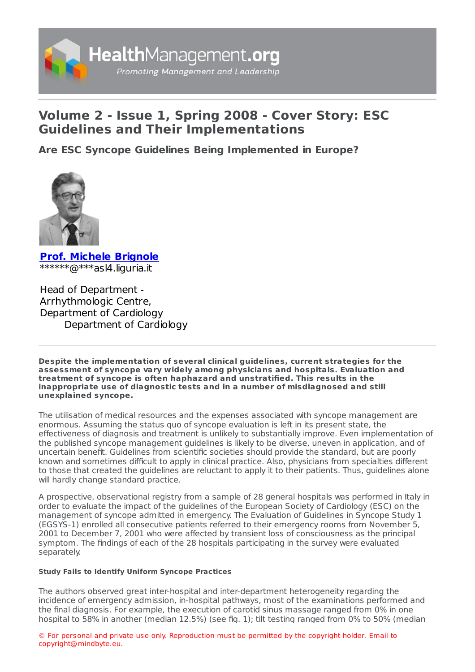

## **Volume 2 - Issue 1, Spring 2008 - Cover Story: ESC Guidelines and Their Implementations**

**Are ESC Syncope Guidelines Being [Implemented](https://www.healthmanagement.org/s/are-esc-syncope-guidelines-being-implemented-in-europe) in Europe?**



**Prof. Michele [Brignole](https://www.healthmanagement.org/viewProfile/41997/Michele_Brignole)** \*\*\*\*\*\*@\*\*\*asl4.liguria.it

Head of Department - Arrhythmologic Centre, Department of Cardiology Department of Cardiology

**Despite the implementation of several clinical guidelines, current strategies for the assessment of syncope vary widely among physicians and hospitals. Evaluation and treatment of syncope is often haphazard and unstratified. This results in the inappropriate use of diagnostic tests and in a number of misdiagnosed and still unexplained syncope.**

The utilisation of medical resources and the expenses associated with syncope management are enormous. Assuming the status quo of syncope evaluation is left in its present state, the effectiveness of diagnosis and treatment is unlikely to substantially improve. Even implementation of the published syncope management guidelines is likely to be diverse, uneven in application, and of uncertain benefit. Guidelines from scientific societies should provide the standard, but are poorly known and sometimes difficult to apply in clinical practice. Also, physicians from specialties different to those that created the guidelines are reluctant to apply it to their patients. Thus, guidelines alone will hardly change standard practice.

A prospective, observational registry from a sample of 28 general hospitals was performed in Italy in order to evaluate the impact of the guidelines of the European Society of Cardiology (ESC) on the management of syncope admitted in emergency. The Evaluation of Guidelines in Syncope Study 1 (EGSYS-1) enrolled all consecutive patients referred to their emergency rooms from November 5, 2001 to December 7, 2001 who were affected by transient loss of consciousness as the principal symptom. The findings of each of the 28 hospitals participating in the survey were evaluated separately.

## **Study Fails to Identify Uniform Syncope Practices**

The authors observed great inter-hospital and inter-department heterogeneity regarding the incidence of emergency admission, in-hospital pathways, most of the examinations performed and the final diagnosis. For example, the execution of carotid sinus massage ranged from 0% in one hospital to 58% in another (median 12.5%) (see fig. 1); tilt testing ranged from 0% to 50% (median

© For personal and private use only. Reproduction must be permitted by the copyright holder. Email to copyright@mindbyte.eu.